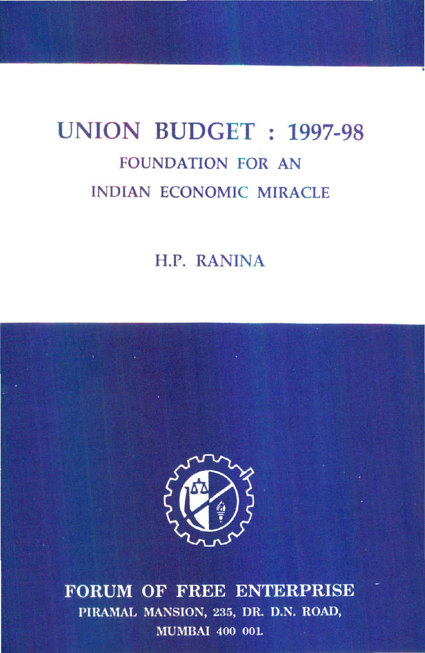# **UNION BUDGET : 1997-98**  FOUNDATION FOR AN INDIAN ECONOMIC MIRACLE

H.P. RANINA



FORUM OF FREE ENTERPRISE PIRAMAL MANSION, 235, DR. D.N. ROAD, **MUMBAI 400 001.**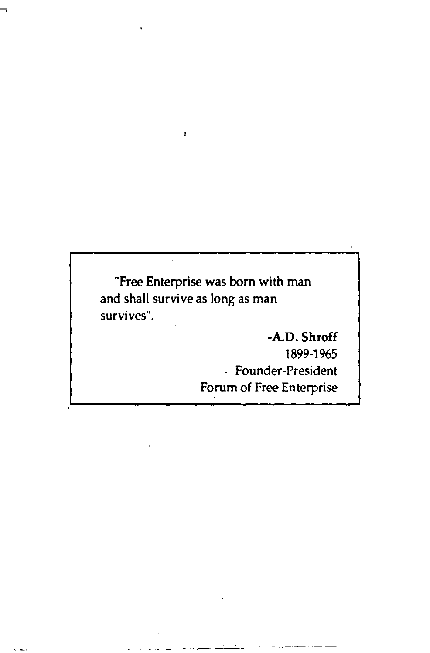"Free Enterprise was born with man and shall survive as long as man survives".

## -A.D. Shroff 1899~1965 Founder-President Forum of Free Enterprise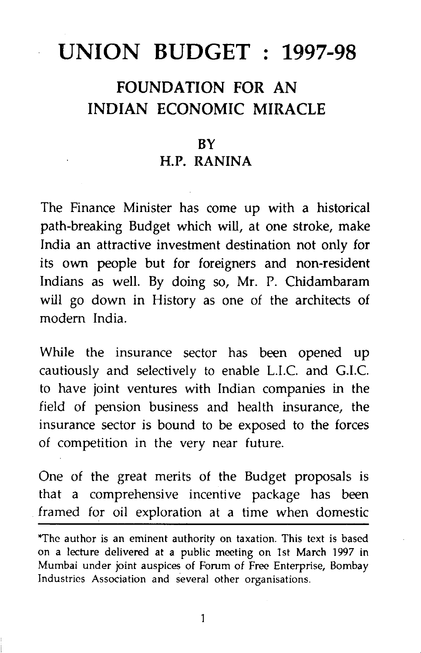## **UNION BUDGET : 1997-98**

## FOUNDATION FOR AN INDIAN ECONOMIC MIRACLE

#### **RY**

#### H.P. RANINA

The Finance Minister has come up with a historical path-breaking Budget which will, at one stroke, make India an attractive investment destination not only for its own people but for foreigners and non-resident Indians as well. By doing so, Mr. P. Chidambaram will go down in History as one of the architects of modern India.

While the insurance sector has been opened up cautiously and selectively to enable L.I.C. and G.I.C. to have joint ventures with Indian companies in the field of pension business and health insurance, the insurance sector is bound to be exposed to the forces of competition in the very near future.

One of the great merits of the Budget proposals is that a comprehensive incentive package has been framed for oil exploration at a time when domestic

\*The author is an eminent authority on taxation. This text is based on a lecture delivered at a public meeting on 1st March 1997 in Mumbai under joint auspices of Forum of Free Enterprise, Bombay Industries Association and several other organisations.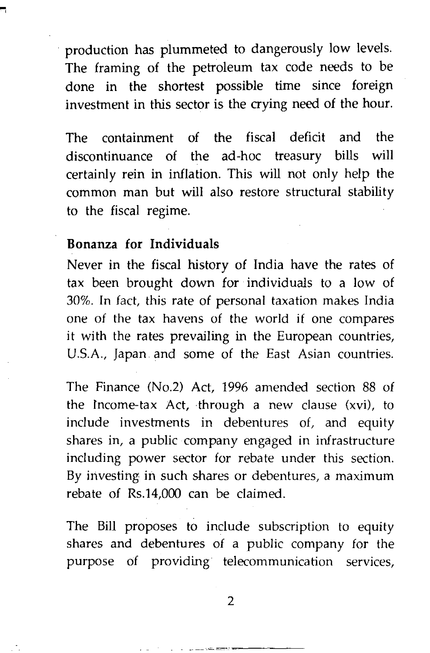production has plummeted to dangerously low levels. The framing of the petroleum tax code needs to be done in the shortest possible time since foreign investment in this sector is the crying need of the hour.

The containment of the fiscal deficit and the discontinuance of the ad-hoc treasury bills will certainly rein in inflation. This will not only help the common man but will also restore structural stability to the fiscal regime.

#### **Bonanza for Individuals**

Never in the fiscal history of India have the rates of tax been brought down for individuals to a low of 30%. In fact, this rate of personal taxation makes India one of the tax havens of the world if one compares it with the rates prevailing in the European countries, U.S.A., Japan and some of the East Asian countries.

The Finance (No.2) Act, 1996 amended section 88 of the fncome-tax Act, through a new clause (xvi), to include investments in debentures of, and equity shares in, a public company engaged in infrastructure including power sector for rebate under this section. By investing in such shares or debentures, a maximum rebate of Rs.14,000 can be claimed.

The Bill proposes to include subscription to equity shares and debentures of a public company for the purpose of providing telecommunication services,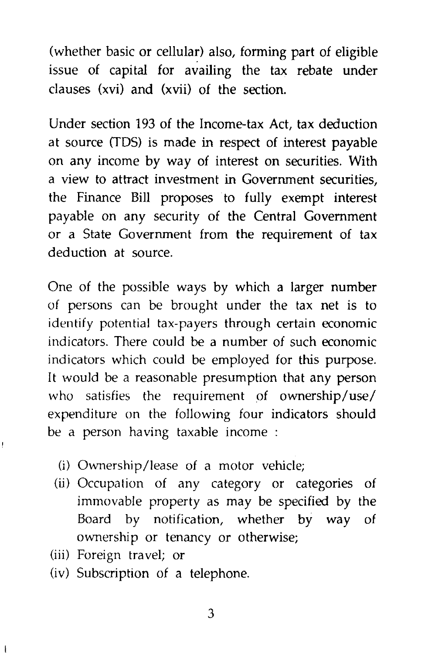(whether basic or cellular) also, forming part of eligible issue of capital for availing the tax rebate under clauses (xvi) and (xvii) of the section.

Under section 193 of the Income-tax Act, tax deduction at source (TOS) is made in respect of interest payable on any income by way of interest on securities. With a view to attract investment in Government securities, the Finance Bill proposes to fully exempt interest payable on any security of the Central Government or a State Government from the requirement of tax deduction at source.

One of the possible ways by which a larger number of persons can be brought under the tax net is to identify potential tax-payers through certain economic indicators. There could be a number of such economic indicators which could be employed for this purpose. It would be a reasonable presumption that any person who satisfies the requirement of ownership/use/ expenditure on the following four indicators should be a person having taxable income :

- (i) Ownership/lease of a motor vehicle;
- (ij) Occupation of any category or categories of immovable property as may be specified by the Board by notification, whether by way of ownership or tenancy or otherwise;
- (iii) Foreign travel; or
- (iv) Subscription of a telephone.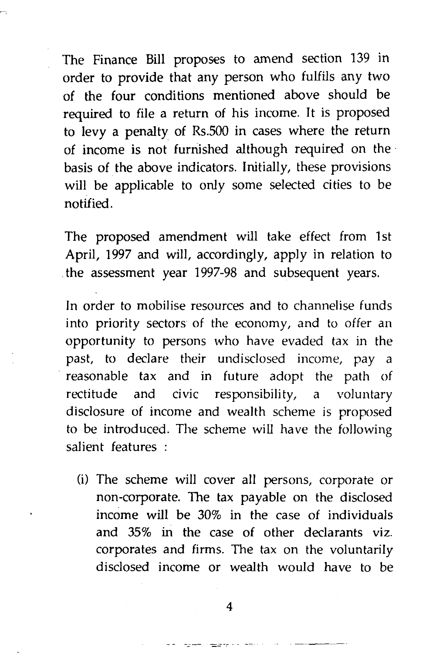The Finance Bill proposes to amend section 139 in order to provide that any person who fulfils any two of the four conditions mentioned above should be required to file a return of his income. It is proposed to levy a penalty of Rs.SOO in cases where the return of income is not furnished although required on the basis of the above indicators. Initially, these provisions will be applicable to only some selected cities to be notified.

The proposed amendment will take effect from 1st April, 1997 and will, accordingly, apply in relation to the assessment year 1997-98 and subsequent years.

In order to mobilise resources and to channelise funds into priority sectors of the economy, and to offer an opportunity to persons who have evaded tax in the past, to declare their undisclosed income, pay a reasonable tax and in future adopt the path of rectitude and civic responsibility, a voluntary disclosure of income and wealth scheme is proposed to be introduced. The scheme will have the following salient features :

(i) The scheme will cover all persons, corporate or non-corporate. The tax payable on the disclosed income wiJl be 30% in the case of individuals and 35% in the case of other declarants viz. corporates and firms. The tax on the voluntarily disclosed income or wealth would have to be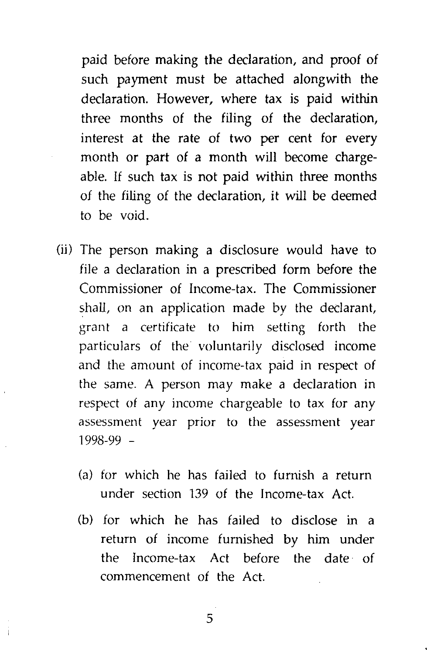*paid* before making the declaration, and proof of such payment must be attached alongwith the declaration. However, where tax is paid within three months of the filing of the declaration, interest at the rate of two per cent for every month or part of a month will become chargeable. If such tax is not paid within three months of the filing of the declaration, it will be deemed to be void.

- (ij) The person making a disclosure would have to file a declaration in a prescribed form before the Commissioner of Income-tax. The Commissioner shall, on an application made by the declarant, grant a certificate to him setting forth the particulars of the voluntarily disclosed income and the amount of income-tax paid in respect of the same. A person may make a declaration in respect of any income chargeable to tax for any assessment year prior to the assessment year 1998-99 -
	- (a) for which he has failed to furnish a return under section 139 of the Income-tax Act.
	- (b) for which he has failed to disclose in a return of income furnished by him under the Income-tax Act before the date of commencement of the Act.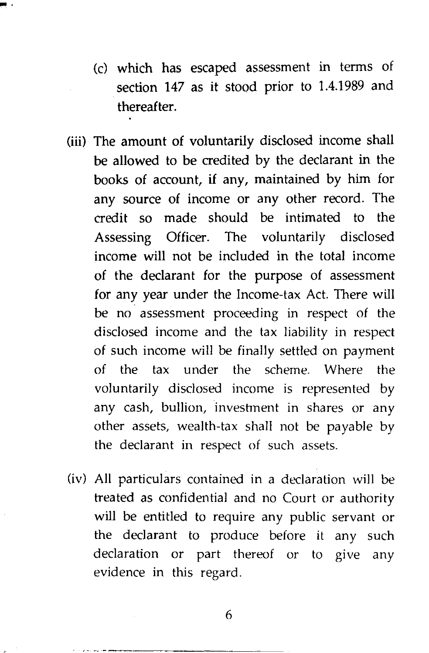- (c) which has escaped assessment in terms of section 147 as it stood prior to 1.4.1989 and thereafter.
- (iii) The amount of voluntarily disclosed income shall be allowed to be credited by the declarant in the books of account, if any, maintained by him for any source of income or any other record. The credit so made should be intimated to the Assessing Officer. The voluntarily disclosed income will not be included in the total income of the declarant for the purpose of assessment for any year under the Income-tax Act. There will be no assessment proceeding in respect of the disclosed income and the tax liability in respect of such income will be finally settled on payment of the tax under the scheme. Where the voluntarily disclosed income is represented by any cash, bullion, investment in shares or any other assets, wealth-tax shall not be payable by the declarant in respect of such assets.
- (iv) All particulars contained in a declaration will be treated as confidential and no Court or authority will be entitled to require any public servant or the declarant to produce before it any such declaration or part thereof or to give any evidence in this regard.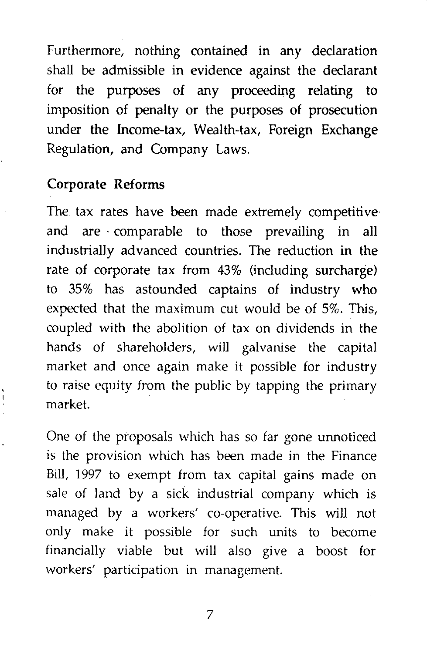Furthermore, nothing contained in any declaration shall be admissible in evidence against the declarant for the purposes of any proceeding relating to imposition of penalty or the purposes of prosecution under the Income-tax, Wealth-tax, Foreign Exchange Regulation, and Company Laws.

#### Corporate Reforms

The tax rates have been made extremely competitive and are · comparable to those prevailing in all industrially advanced countries. The reduction in the rate of corporate tax from 43% (including surcharge) to 35% has astounded captains of industry who expected that the maximum cut would be of 5%. This, coupled with the abolition of tax on dividends in the hands of shareholders, will galvanise the capital market and once again make it possible for industry to raise equity from the public by tapping the primary market.

One of the proposals which has so far gone unnoticed is the provision which has been made in the Finance Bill, 1997 to exempt from tax capital gains made on sale of land by a sick industrial company which is managed by a workers' co-operative. This will not only make it possible for such units to become financially viable but will also give a boost for workers' participation in management.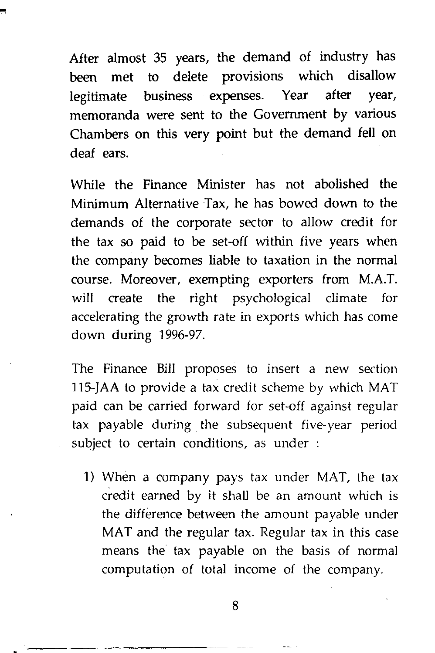After almost 35 years, the demand of industry has been met to delete provisions which disallow legitimate business expenses. Year after year, memoranda were sent to the Government by various Chambers on this very point but the demand fell on deaf ears.

While the Finance Minister has not abolished the Minimum Alternative Tax, he has bowed down to the demands of the corporate sector to allow credit for the tax so paid to be set-off within five years when the company becomes liable to taxation in the normal course. Moreover, exempting exporters from M.A.T. will create the right psychological climate for accelerating the growth rate in exports which has come down during 1996-97.

The Finance Bill proposes to insert a new section 115-JAA to provide a tax credit scheme by which MAT paid can be carried forward for set-off against regular tax payable during the subsequent five-year period subject to certain conditions, as under :

l) When a company pays tax under MAT, the tax credit earned by it shall be an amount which is the difference between the amount payable under MAT and the regular tax. Regular tax in this case means the tax payable on the basis of normal computation of total income of the company.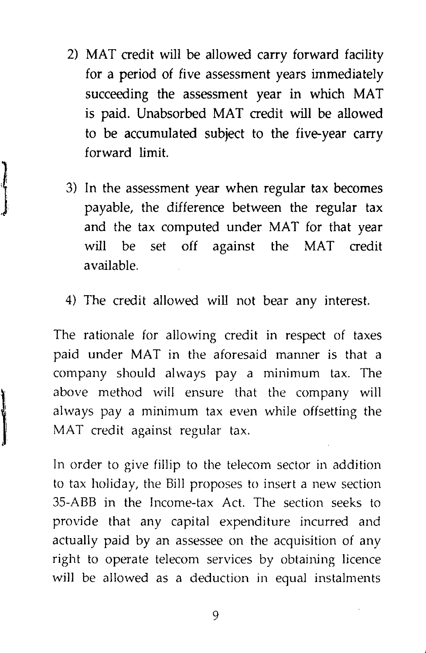- 2) MAT credit will be allowed carry forward facility for a period of five assessment years immediately succeeding the assessment year in which MAT is paid. Unabsorbed MAT credit will be allowed to be accumulated subject to the five-year carry forward limit.
- 3) In the assessment year when regular tax becomes payable, the difference between the regular tax and the tax computed under MAT for that year will be set off against the MAT credit available.
- 4) The credit allowed will not bear any interest.

The rationale for allowing credit in respect of taxes paid under MAT in the aforesaid manner is that a company should always pay a minimum tax. The above method will ensure that the company will always pay a minimum tax even while offsetting the MAT credit against regular tax.

In order to give fillip to the telecom sector in addition to tax holiday, the Bill proposes to insert a new section 35-ABB in the Income-tax Act. The section seeks to provide that any capital expenditure incurred and actually paid by an assessee on the acquisition of any right to operate telecom services by obtaining licence will be allowed as a deduction in equal instalments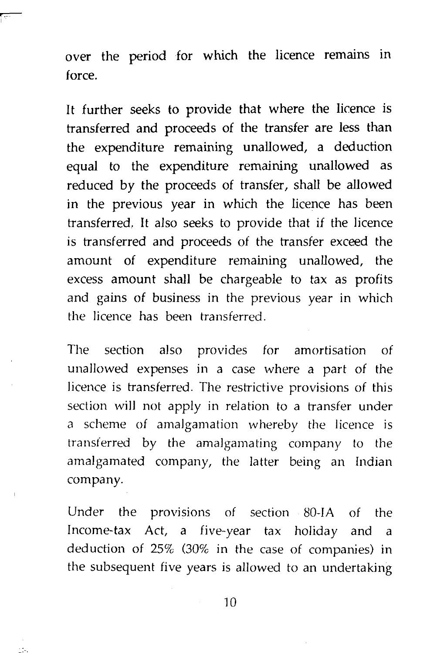over the period for which the licence remains in force.

 $\overline{\phantom{a}}$ 

It further seeks to provide that where the licence is transferred and proceeds of the transfer are less than the expenditure remaining unallowed, a deduction equal to the expenditure remaining unallowed as reduced by the proceeds of transfer, shall be allowed in the previous year in which the licence has been transferred. It also seeks to provide that if the licence is transferred and proceeds of the transfer exceed the amount of expenditure remaining unallowed, the excess amount shall be chargeable to tax as profits and gains of business in the previous year in which the licence has been transferred.

The section also provides for amortisation of unallowed expenses in a case where a part of the licence is transferred. The restrictive provisions of this section will not apply in relation to a transfer under a scheme of amalgamation whereby the licence is transferred by the amalgamating company to the amalgamated company, the latter being an Indian company.

Under the provisions of section 80-IA of the Income-tax Act, a five-year tax holiday and a deduction of 25% (30% in the case of companies) in the subsequent five years is allowed to an undertaking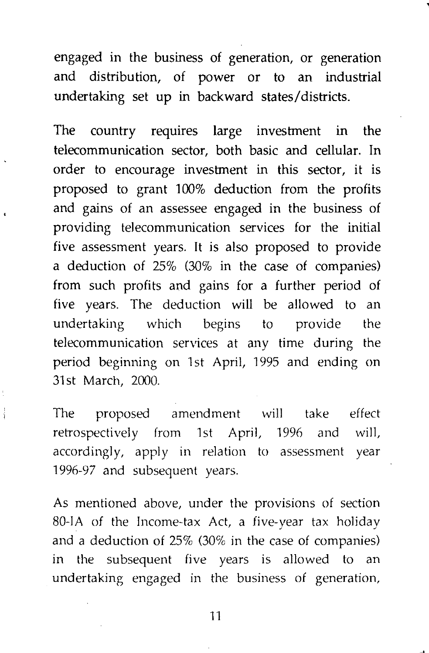engaged in the business of generation, or generation and distribution, of power or to an industrial undertaking set up in backward states/districts.

The country requires large investment in the telecommunication sector, both basic and cellular. In order to encourage investment in this sector, it is proposed to grant 100% deduction from the profits and gains of an assessee engaged in the business of providing telecommunication services for the initial five assessment years. It is also proposed to provide a deduction of 25% (30% in the case of companies) from such profits and gains for a further period of five years. The deduction will be allowed to an undertaking which begins to provide the telecommunication services at any time during the period beginning on 1st April, 1995 and ending on 31st March, 2000.

The proposed amendment will take effect retrospectively from 1st April, 1996 and will, accordingly, apply in relation to assessment year 1996-97 and subsequent years.

As mentioned above, under the provisions of section 80-lA of the Income-tax Act, a five-year tax holiday and a deduction of 25% (30% in the case of companies) in the subsequent five years is allowed to an undertaking engaged in the business of generation,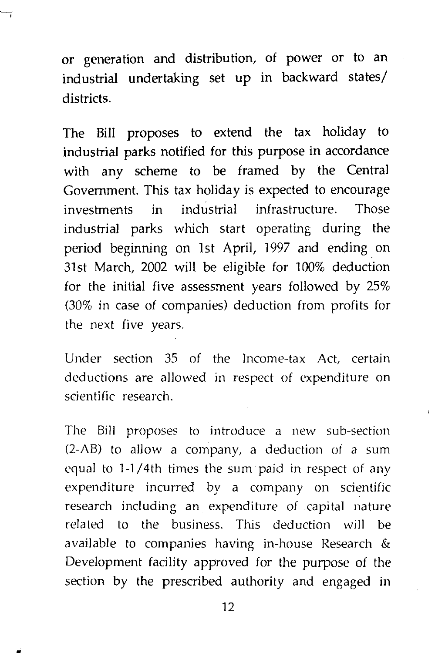or generation and distribution, of power or to an industrial undertaking set up in backward states/ districts.

The Bill proposes to extend the tax holiday to industrial parks notified for this purpose in accordance with any scheme to be framed by the Central Government. This tax holiday is expected to encourage investments in industrial infrastructure. Those industrial parks which start operating during the period beginning on 1st April, 1997 and ending. on 31st March, 2002 will be eligible for 100% deduction for the initial five assessment years followed by 25% (30% in case of companies) deduction from profits for the next five years.

Under section 35 of the Income-tax Act, certain deductions are allowed in respect of expenditure on scientific research.

The Bill proposes to introduce a new sub-section  $(2-AB)$  to allow a company, a deduction of a sum equal to  $1-1/4$ th times the sum paid in respect of any expenditure incurred by a company on scientific research including an expenditure of capital nature related to the business. This deduction will be available to companies having in-house Research & Development facility approved for the purpose of the section by the prescribed authority and engaged in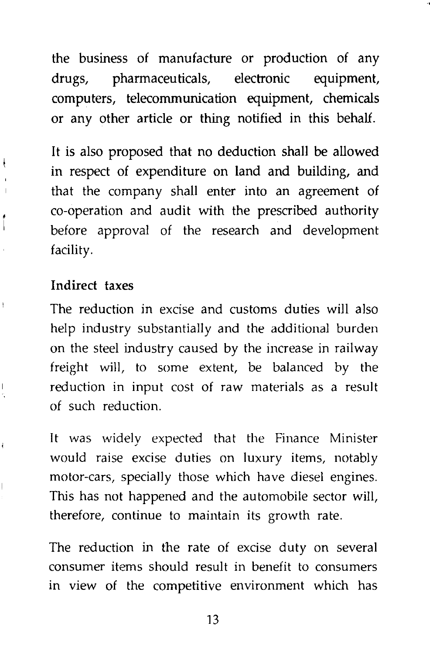the business of manufacture or production of any drugs, pharrnaceu ticals, electronic equipment, computers, telecommunication equipment, chemicals or any other article or thing notified in this behalf.

It is also proposed that no deduction shall be allowed in respect of expenditure on land and building, and that the company shall enter into an agreement of co-operation and audit with the prescribed authority before approval of the research and development facility.

#### Indirect taxes

The reduction in excise and customs duties will also help industry substantially and the additional burden on the steel industry caused by the increase in railway freight will, to some extent, be balanced by the reduction in input cost of raw materials as a result of such reduction.

It was widely expected that the Finance Minister would raise excise duties on luxury items, notably motor-cars, specially those which have diesel engines. This has not happened and the automobile sector will, therefore, continue to maintain its growth rate.

The reduction in the rate of excise duty on several consumer items should result in benefit to consumers in view of the competitive environment which has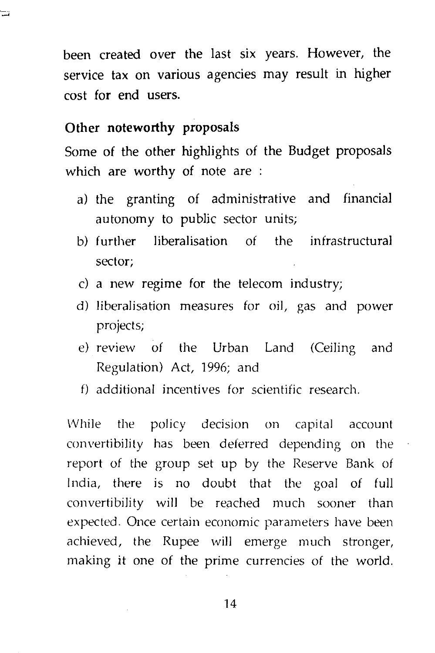been created over the last six years. However, the service tax on various agencies may result in higher cost for end users.

#### **Other noteworthy proposals**

Some of the other highlights of the Budget proposals which are worthy of note are :

- a) the granting of administrative and financial autonomy to public sector units;
- b) further liberalisation of the infrastructural sector;
- c) a new regime for the telecom industry;
- d) liberalisation measures for oil, gas and power projects;
- e) review of the Urban Land (Ceiling and Regulation) Act, 1996; and
- f) additional incentives for scientific research.

While the policy decision on capital account convertibility has been deferred depending on the report of the group set up by the Reserve Bank of India, there is no doubt that the goal of full convertibility will be reached much sooner than expected. Once certain economic parameters have been achieved, the Rupee will emerge much stronger, making it one of the prime currencies of the world.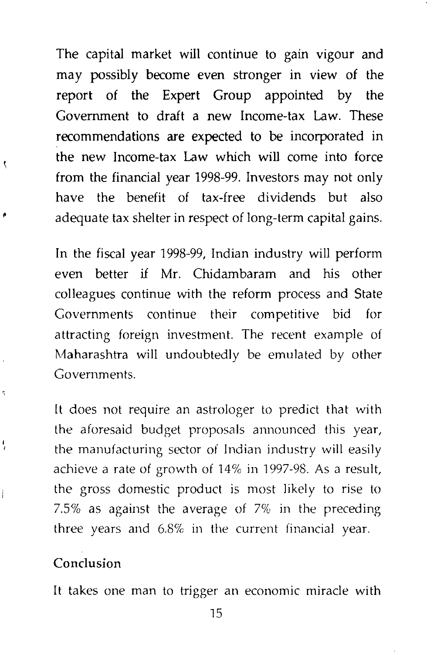The capital market will continue to gain vigour and may possibly become even stronger in view of the report of the Expert Group appointed by the Government to draft a new Income-tax Law. These recommendations are expected to be incorporated in the new Income-tax Law which will come into force from the financial year 1998-99. Investors may not only have the benefit of tax-free dividends but also adequate tax shelter in respect of long-term capital gains.

In the fiscal year 1998-99, Indian industry will perform even better if Mr. Chidambaram and his other colleagues continue with the reform process and State Governments continue their competitive bid for attracting foreign investment. The recent example of Maharashtra will undoubtedly be emulated by other Governments.

It does not require an astrologer to predict that with the aforesaid budget proposals announced this year, the manufacturing sector of Indian industry will easily achieve a rate of growth of 14% in 1997-98. As a result, the gross domestic product is most likely to rise to 7.5% as against the average of 7% in the preceding three years and 6.8% in the current financial year.

#### Conclusion

It takes one man to trigger an economic miracle with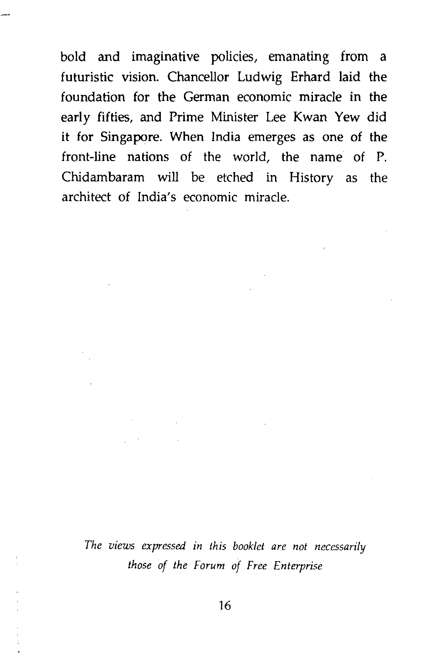bold and imaginative policies, emanating from a futuristic vision. Chancellor Ludwig Erhard laid the foundation for the German economic miracle in the early fifties, and Prime Minister Lee Kwan Yew did it for Singapore. When India emerges as one of the front-line nations of the world, the name of P. Chidambaram will be etched in History as the architect of India's economic miracle.

*The views expressed in this booklet are not necessarily those of the Forum of Free Enterprise*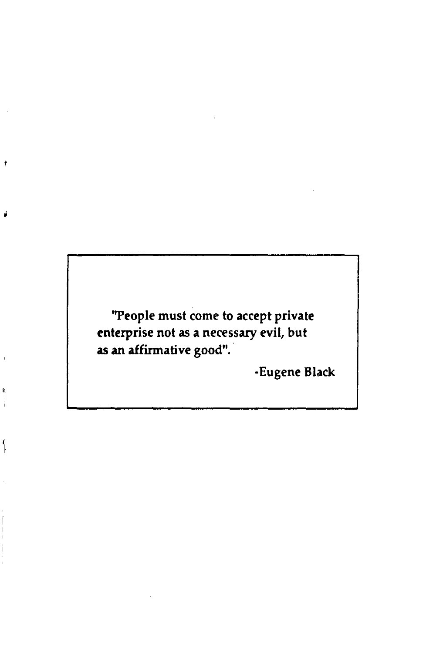"People must come to accept private enterprise not as a necessary evil, but as an affirmative good".

·Eugene Black